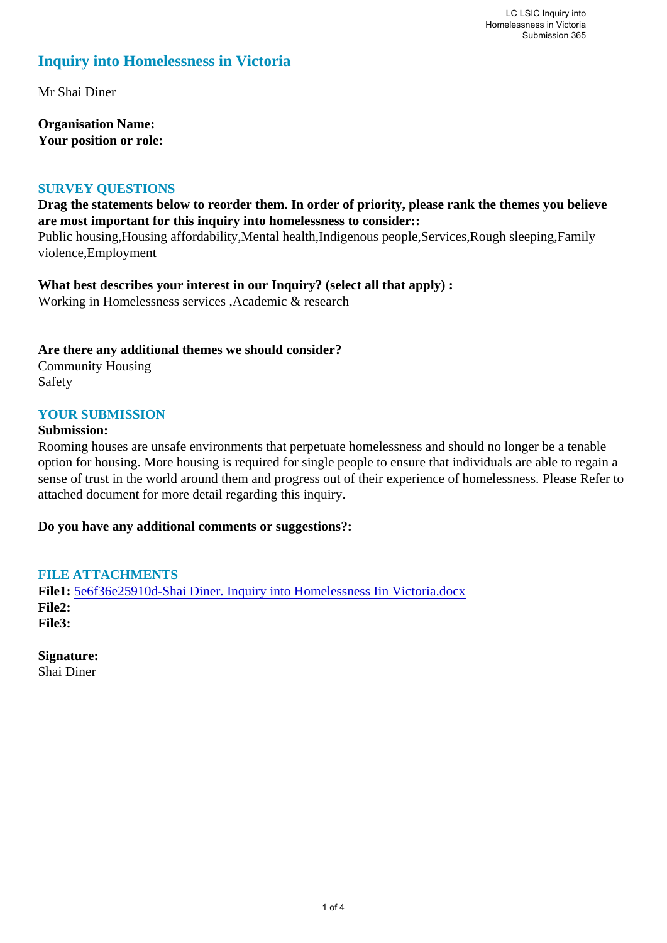# **Inquiry into Homelessness in Victoria**

Mr Shai Diner

**Organisation Name: Your position or role:** 

### **SURVEY QUESTIONS**

**Drag the statements below to reorder them. In order of priority, please rank the themes you believe are most important for this inquiry into homelessness to consider::** 

Public housing,Housing affordability,Mental health,Indigenous people,Services,Rough sleeping,Family violence,Employment

**What best describes your interest in our Inquiry? (select all that apply) :**  Working in Homelessness services ,Academic & research

### **Are there any additional themes we should consider?**

Community Housing Safety

### **YOUR SUBMISSION**

#### **Submission:**

Rooming houses are unsafe environments that perpetuate homelessness and should no longer be a tenable option for housing. More housing is required for single people to ensure that individuals are able to regain a sense of trust in the world around them and progress out of their experience of homelessness. Please Refer to attached document for more detail regarding this inquiry.

### **Do you have any additional comments or suggestions?:**

### **FILE ATTACHMENTS**

**File1:** [5e6f36e25910d-Shai Diner. Inquiry into Homelessness Iin Victoria.docx](https://www.parliament.vic.gov.au/component/rsform/submission-view-file/6dd013d54cdab03aa26899ecc9d9cdc8/2eb4e6f41decfa714c465aab5bffe420?Itemid=463) **File2: File3:** 

**Signature:** Shai Diner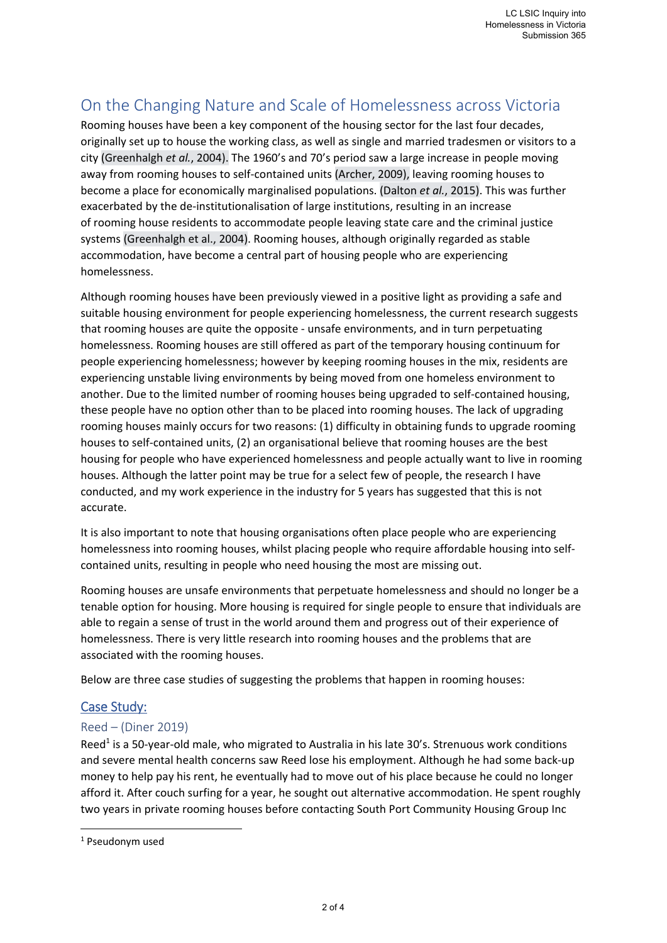# On the Changing Nature and Scale of Homelessness across Victoria

Rooming houses have been a key component of the housing sector for the last four decades, originally set up to house the working class, as well as single and married tradesmen or visitors to a city (Greenhalgh *et al.*, 2004). The 1960's and 70's period saw a large increase in people moving away from rooming houses to self‐contained units (Archer, 2009), leaving rooming houses to become a place for economically marginalised populations. (Dalton *et al.*, 2015). This was further exacerbated by the de‐institutionalisation of large institutions, resulting in an increase of rooming house residents to accommodate people leaving state care and the criminal justice systems (Greenhalgh et al., 2004). Rooming houses, although originally regarded as stable accommodation, have become a central part of housing people who are experiencing homelessness.

Although rooming houses have been previously viewed in a positive light as providing a safe and suitable housing environment for people experiencing homelessness, the current research suggests that rooming houses are quite the opposite ‐ unsafe environments, and in turn perpetuating homelessness. Rooming houses are still offered as part of the temporary housing continuum for people experiencing homelessness; however by keeping rooming houses in the mix, residents are experiencing unstable living environments by being moved from one homeless environment to another. Due to the limited number of rooming houses being upgraded to self-contained housing, these people have no option other than to be placed into rooming houses. The lack of upgrading rooming houses mainly occurs for two reasons: (1) difficulty in obtaining funds to upgrade rooming houses to self-contained units, (2) an organisational believe that rooming houses are the best housing for people who have experienced homelessness and people actually want to live in rooming houses. Although the latter point may be true for a select few of people, the research I have conducted, and my work experience in the industry for 5 years has suggested that this is not accurate.

It is also important to note that housing organisations often place people who are experiencing homelessness into rooming houses, whilst placing people who require affordable housing into selfcontained units, resulting in people who need housing the most are missing out.

Rooming houses are unsafe environments that perpetuate homelessness and should no longer be a tenable option for housing. More housing is required for single people to ensure that individuals are able to regain a sense of trust in the world around them and progress out of their experience of homelessness. There is very little research into rooming houses and the problems that are associated with the rooming houses.

Below are three case studies of suggesting the problems that happen in rooming houses:

# Case Study:

## Reed – (Diner 2019)

Reed<sup>1</sup> is a 50-year-old male, who migrated to Australia in his late 30's. Strenuous work conditions and severe mental health concerns saw Reed lose his employment. Although he had some back‐up money to help pay his rent, he eventually had to move out of his place because he could no longer afford it. After couch surfing for a year, he sought out alternative accommodation. He spent roughly two years in private rooming houses before contacting South Port Community Housing Group Inc

<sup>1</sup> Pseudonym used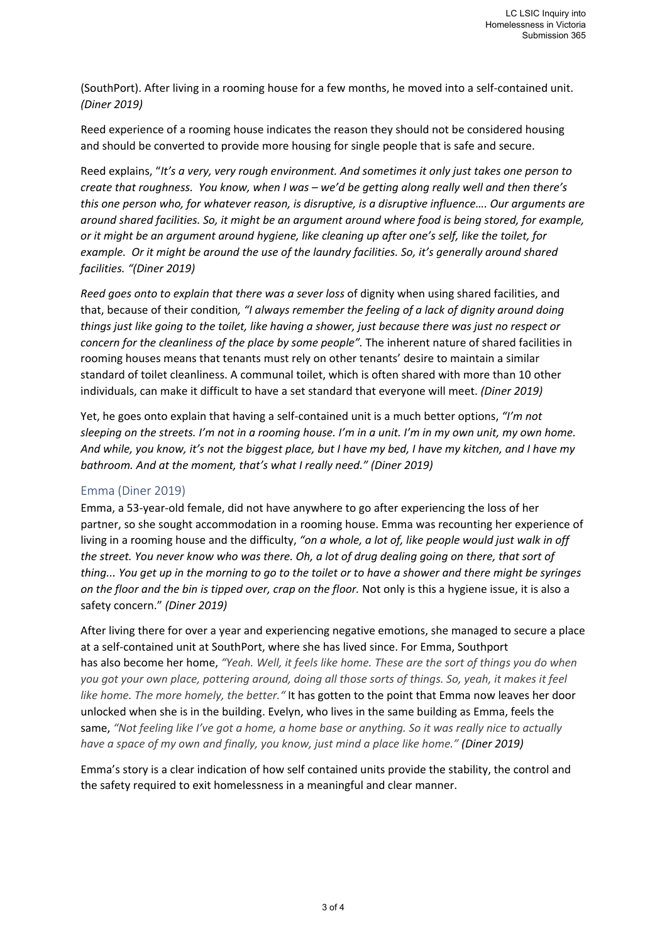(SouthPort). After living in a rooming house for a few months, he moved into a self‐contained unit. *(Diner 2019)*

Reed experience of a rooming house indicates the reason they should not be considered housing and should be converted to provide more housing for single people that is safe and secure.

Reed explains, "*It's a very, very rough environment. And sometimes it only just takes one person to create that roughness. You know, when I was – we'd be getting along really well and then there's this one person who, for whatever reason, is disruptive, is a disruptive influence…. Our arguments are around shared facilities. So, it might be an argument around where food is being stored, for example, or it might be an argument around hygiene, like cleaning up after one's self, like the toilet, for example. Or it might be around the use of the laundry facilities. So, it's generally around shared facilities. "(Diner 2019)* 

*Reed goes onto to explain that there was a sever loss* of dignity when using shared facilities, and that, because of their condition*, "I always remember the feeling of a lack of dignity around doing things just like going to the toilet, like having a shower, just because there was just no respect or concern for the cleanliness of the place by some people".* The inherent nature of shared facilities in rooming houses means that tenants must rely on other tenants' desire to maintain a similar standard of toilet cleanliness. A communal toilet, which is often shared with more than 10 other individuals, can make it difficult to have a set standard that everyone will meet. *(Diner 2019)* 

Yet, he goes onto explain that having a self‐contained unit is a much better options, *"I'm not sleeping on the streets. I'm not in a rooming house. I'm in a unit. I'm in my own unit, my own home. And while, you know, it's not the biggest place, but I have my bed, I have my kitchen, and I have my bathroom. And at the moment, that's what I really need." (Diner 2019)* 

### Emma (Diner 2019)

Emma, a 53‐year‐old female, did not have anywhere to go after experiencing the loss of her partner, so she sought accommodation in a rooming house. Emma was recounting her experience of living in a rooming house and the difficulty, *"on a whole, a lot of, like people would just walk in off the street. You never know who was there. Oh, a lot of drug dealing going on there, that sort of thing... You get up in the morning to go to the toilet or to have a shower and there might be syringes on the floor and the bin is tipped over, crap on the floor.* Not only is this a hygiene issue, it is also a safety concern." *(Diner 2019)*

After living there for over a year and experiencing negative emotions, she managed to secure a place at a self‐contained unit at SouthPort, where she has lived since. For Emma, Southport has also become her home, *"Yeah. Well, it feels like home. These are the sort of things you do when you got your own place, pottering around, doing all those sorts of things. So, yeah, it makes it feel like home. The more homely, the better."* It has gotten to the point that Emma now leaves her door unlocked when she is in the building. Evelyn, who lives in the same building as Emma, feels the same, *"Not feeling like I've got a home, a home base or anything. So it was really nice to actually have a space of my own and finally, you know, just mind a place like home." (Diner 2019)*

Emma's story is a clear indication of how self contained units provide the stability, the control and the safety required to exit homelessness in a meaningful and clear manner.